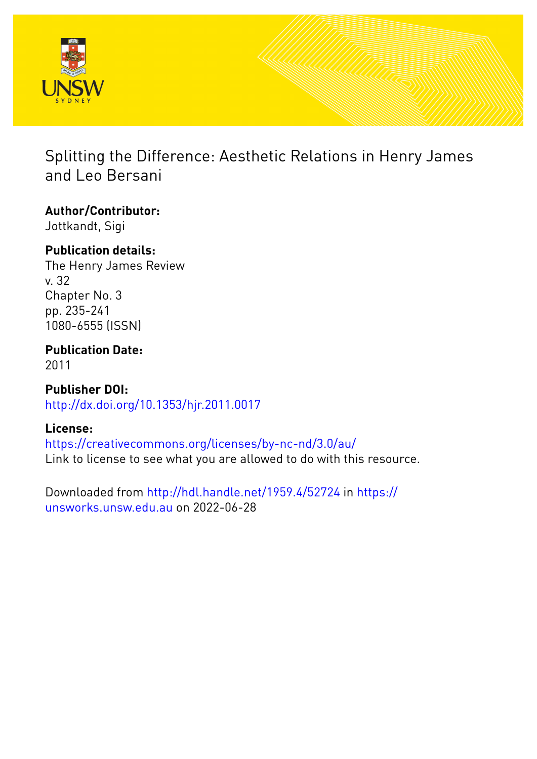

## Splitting the Difference: Aesthetic Relations in Henry James and Leo Bersani

### **Author/Contributor:** Jottkandt, Sigi

## **Publication details:**

The Henry James Review v. 32 Chapter No. 3 pp. 235-241 1080-6555 (ISSN)

# **Publication Date:**

2011

**Publisher DOI:** [http://dx.doi.org/10.1353/hjr.2011.0017](http://dx.doi.org/http://dx.doi.org/10.1353/hjr.2011.0017)

## **License:**

<https://creativecommons.org/licenses/by-nc-nd/3.0/au/> Link to license to see what you are allowed to do with this resource.

Downloaded from <http://hdl.handle.net/1959.4/52724> in [https://](https://unsworks.unsw.edu.au) [unsworks.unsw.edu.au](https://unsworks.unsw.edu.au) on 2022-06-28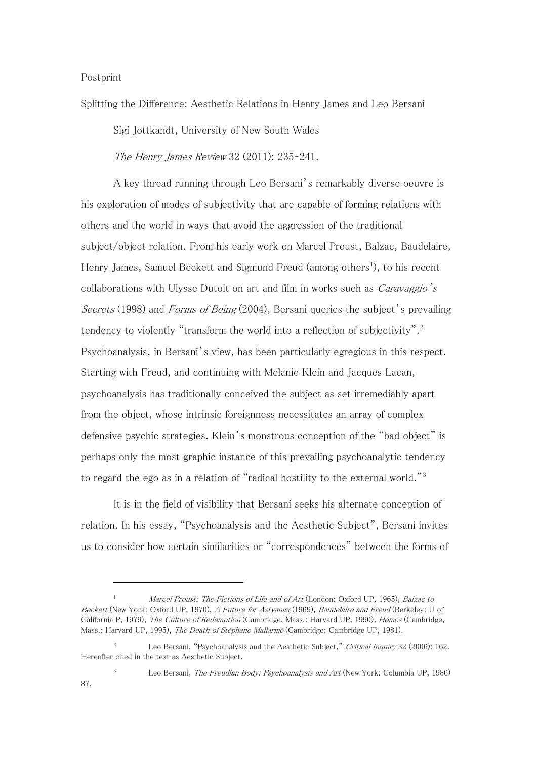#### Postprint

Splitting the Difference: Aesthetic Relations in Henry James and Leo Bersani

Sigi Jottkandt, University of New South Wales

The Henry James Review 32 (2011): 235–241.

A key thread running through Leo Bersani's remarkably diverse oeuvre is his exploration of modes of subjectivity that are capable of forming relations with others and the world in ways that avoid the aggression of the traditional subject/object relation. From his early work on Marcel Proust, Balzac, Baudelaire, Henry James, Samuel Beckett and Sigmund Freud (among others<sup>[1](#page-1-0)</sup>), to his recent collaborations with Ulysse Dutoit on art and film in works such as *Caravaggio's* Secrets (1998) and Forms of Being (2004), Bersani queries the subject's prevailing tendency to violently "transform the world into a reflection of subjectivity".<sup>[2](#page-1-1)</sup> Psychoanalysis, in Bersani's view, has been particularly egregious in this respect. Starting with Freud, and continuing with Melanie Klein and Jacques Lacan, psychoanalysis has traditionally conceived the subject as set irremediably apart from the object, whose intrinsic foreignness necessitates an array of complex defensive psychic strategies. Klein's monstrous conception of the "bad object" is perhaps only the most graphic instance of this prevailing psychoanalytic tendency to regard the ego as in a relation of "radical hostility to the external world."[3](#page-1-2)

It is in the field of visibility that Bersani seeks his alternate conception of relation. In his essay, "Psychoanalysis and the Aesthetic Subject", Bersani invites us to consider how certain similarities or "correspondences" between the forms of

<span id="page-1-3"></span><span id="page-1-0"></span>Marcel Proust: The Fictions of Life and of Art (London: Oxford UP, 1965), Balzac to Beckett (New York: Oxford UP, 1970), A Future for Astyanax (1969), Baudelaire and Freud (Berkeley: U of California P, 1979), The Culture of Redemption (Cambridge, Mass.: Harvard UP, 1990), Homos (Cambridge, Mass.: Harvard UP, 1995), The Death of Stéphane Mallarmé (Cambridge: Cambridge UP, 1981).

<span id="page-1-1"></span>Leo Bersani, "Psychoanalysis and the Aesthetic Subject," Critical Inquiry 32 (2006): 162. Hereafter cited in the text as Aesthetic Subject.

<span id="page-1-2"></span>Leo Bersani, The Freudian Body: Psychoanalysis and Art (New York: Columbia UP, 1986) 87.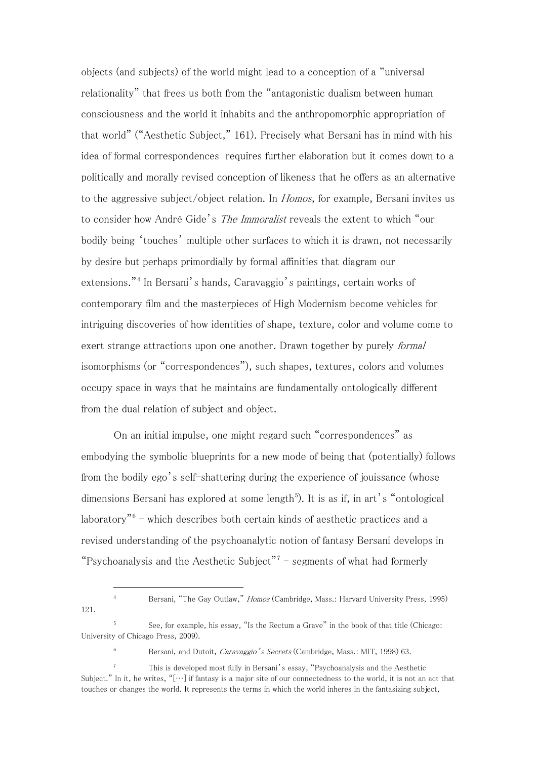objects (and subjects) of the world might lead to a conception of a "universal relationality" that frees us both from the "antagonistic dualism between human consciousness and the world it inhabits and the anthropomorphic appropriation of that world" ("Aesthetic Subject," 161). Precisely what Bersani has in mind with his idea of formal correspondences requires further elaboration but it comes down to a politically and morally revised conception of likeness that he offers as an alternative to the aggressive subject/object relation. In Homos, for example, Bersani invites us to consider how André Gide's *The Immoralist* reveals the extent to which "our bodily being 'touches' multiple other surfaces to which it is drawn, not necessarily by desire but perhaps primordially by formal affinities that diagram our extensions."[4](#page-1-3) In Bersani's hands, Caravaggio's paintings, certain works of contemporary film and the masterpieces of High Modernism become vehicles for intriguing discoveries of how identities of shape, texture, color and volume come to exert strange attractions upon one another. Drawn together by purely *formal* isomorphisms (or "correspondences"), such shapes, textures, colors and volumes occupy space in ways that he maintains are fundamentally ontologically different from the dual relation of subject and object.

On an initial impulse, one might regard such "correspondences" as embodying the symbolic blueprints for a new mode of being that (potentially) follows from the bodily ego's self-shattering during the experience of jouissance (whose dimensions Bersani has explored at some length<sup>[5](#page-2-0)</sup>). It is as if, in art's "ontological laboratory" $6 6 -$  which describes both certain kinds of aesthetic practices and a revised understanding of the psychoanalytic notion of fantasy Bersani develops in "Psychoanalysis and the Aesthetic Subject"<sup>[7](#page-2-2)</sup> – segments of what had formerly

<sup>&</sup>lt;sup>4</sup> Bersani, "The Gay Outlaw," *Homos* (Cambridge, Mass.: Harvard University Press, 1995) 121.

<span id="page-2-0"></span><sup>5</sup> See, for example, his essay, "Is the Rectum a Grave" in the book of that title (Chicago: University of Chicago Press, 2009).

<sup>&</sup>lt;sup>6</sup> Bersani, and Dutoit, *Caravaggio's Secrets* (Cambridge, Mass.: MIT, 1998) 63.

<span id="page-2-3"></span><span id="page-2-2"></span><span id="page-2-1"></span><sup>7</sup> This is developed most fully in Bersani's essay, "Psychoanalysis and the Aesthetic Subject." In it, he writes, " $[\cdots]$  if fantasy is a major site of our connectedness to the world, it is not an act that touches or changes the world. It represents the terms in which the world inheres in the fantasizing subject,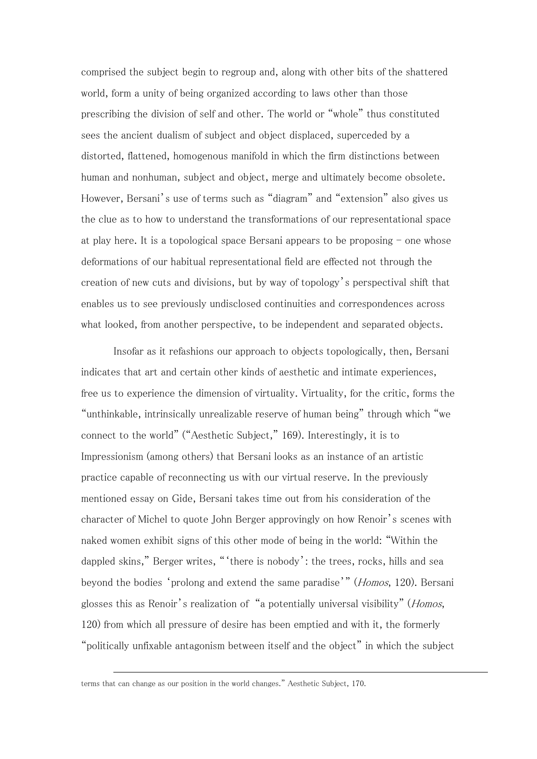comprised the subject begin to regroup and, along with other bits of the shattered world, form a unity of being organized according to laws other than those prescribing the division of self and other. The world or "whole" thus constituted sees the ancient dualism of subject and object displaced, superceded by a distorted, flattened, homogenous manifold in which the firm distinctions between human and nonhuman, subject and object, merge and ultimately become obsolete. However, Bersani's use of terms such as "diagram" and "extension" also gives us the clue as to how to understand the transformations of our representational space at play here. It is a topological space Bersani appears to be proposing  $-$  one whose deformations of our habitual representational field are effected not through the creation of new cuts and divisions, but by way of topology's perspectival shift that enables us to see previously undisclosed continuities and correspondences across what looked, from another perspective, to be independent and separated objects.

Insofar as it refashions our approach to objects topologically, then, Bersani indicates that art and certain other kinds of aesthetic and intimate experiences, free us to experience the dimension of virtuality. Virtuality, for the critic, forms the "unthinkable, intrinsically unrealizable reserve of human being" through which "we connect to the world" ("Aesthetic Subject," 169). Interestingly, it is to Impressionism (among others) that Bersani looks as an instance of an artistic practice capable of reconnecting us with our virtual reserve. In the previously mentioned essay on Gide, Bersani takes time out from his consideration of the character of Michel to quote John Berger approvingly on how Renoir's scenes with naked women exhibit signs of this other mode of being in the world: "Within the dappled skins," Berger writes, "'there is nobody': the trees, rocks, hills and sea beyond the bodies 'prolong and extend the same paradise'" (*Homos*, 120). Bersani glosses this as Renoir's realization of "a potentially universal visibility" (Homos, 120) from which all pressure of desire has been emptied and with it, the formerly "politically unfixable antagonism between itself and the object" in which the subject

terms that can change as our position in the world changes." Aesthetic Subject, 170.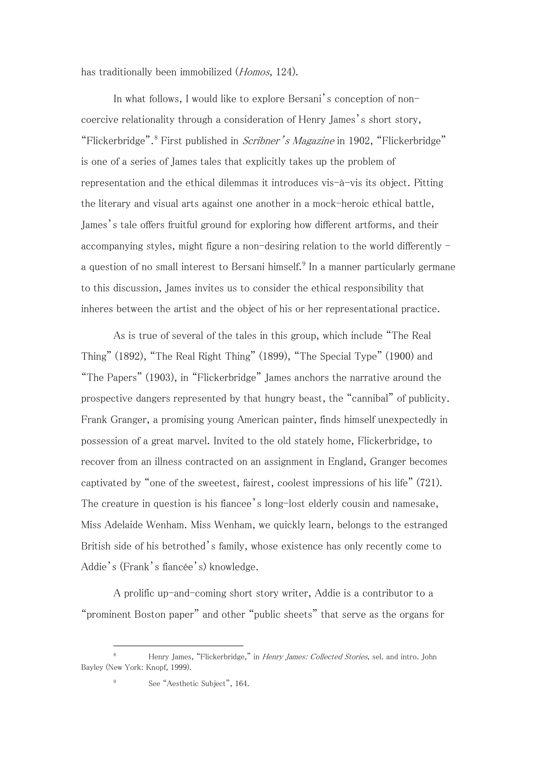has traditionally been immobilized (*Homos*, 124).

In what follows, I would like to explore Bersani's conception of noncoercive relationality through a consideration of Henry James's short story, "Flickerbridge".<sup>[8](#page-2-3)</sup> First published in *Scribner's Magazine* in 1902, "Flickerbridge" is one of a series of James tales that explicitly takes up the problem of representation and the ethical dilemmas it introduces vis-à-vis its object. Pitting the literary and visual arts against one another in a mock-heroic ethical battle, James's tale offers fruitful ground for exploring how different artforms, and their accompanying styles, might figure a non-desiring relation to the world differently - a question of no small interest to Bersani himself.<sup>[9](#page-4-0)</sup> In a manner particularly germane to this discussion, James invites us to consider the ethical responsibility that inheres between the artist and the object of his or her representational practice.

As is true of several of the tales in this group, which include "The Real Thing" (1892), "The Real Right Thing" (1899), "The Special Type" (1900) and "The Papers" (1903), in "Flickerbridge" James anchors the narrative around the prospective dangers represented by that hungry beast, the "cannibal" of publicity. Frank Granger, a promising young American painter, finds himself unexpectedly in possession of a great marvel. Invited to the old stately home, Flickerbridge, to recover from an illness contracted on an assignment in England, Granger becomes captivated by "one of the sweetest, fairest, coolest impressions of his life" (721). The creature in question is his fiancee's long-lost elderly cousin and namesake, Miss Adelaide Wenham. Miss Wenham, we quickly learn, belongs to the estranged British side of his betrothed's family, whose existence has only recently come to Addie's (Frank's fiancée's) knowledge.

A prolific up-and-coming short story writer, Addie is a contributor to a "prominent Boston paper" and other "public sheets" that serve as the organs for

<span id="page-4-1"></span><span id="page-4-0"></span><sup>8</sup> Henry James, "Flickerbridge," in Henry James: Collected Stories, sel. and intro. John Bayley (New York: Knopf, 1999).

See "Aesthetic Subject", 164.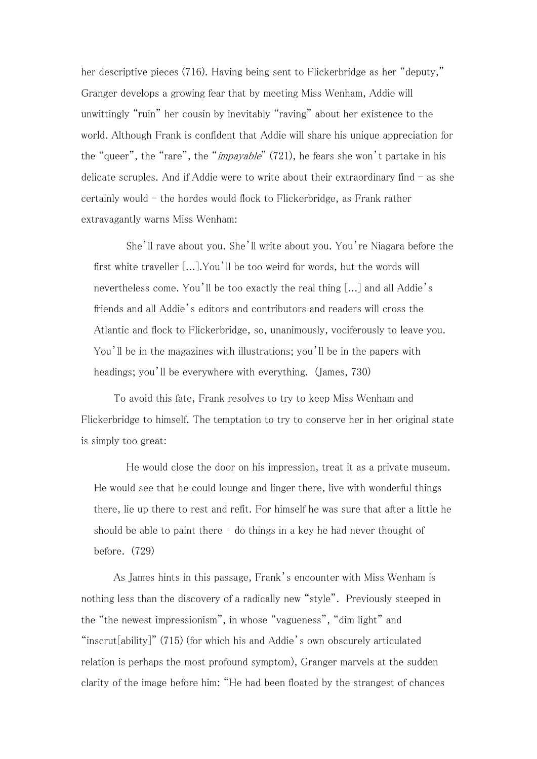her descriptive pieces (716). Having being sent to Flickerbridge as her "deputy," Granger develops a growing fear that by meeting Miss Wenham, Addie will unwittingly "ruin" her cousin by inevitably "raving" about her existence to the world. Although Frank is confident that Addie will share his unique appreciation for the "queer", the "rare", the "*impayable*" (721), he fears she won't partake in his delicate scruples. And if Addie were to write about their extraordinary find  $-$  as she certainly would - the hordes would flock to Flickerbridge, as Frank rather extravagantly warns Miss Wenham:

She'll rave about you. She'll write about you. You're Niagara before the first white traveller [...].You'll be too weird for words, but the words will nevertheless come. You'll be too exactly the real thing [...] and all Addie's friends and all Addie's editors and contributors and readers will cross the Atlantic and flock to Flickerbridge, so, unanimously, vociferously to leave you. You'll be in the magazines with illustrations; you'll be in the papers with headings; you'll be everywhere with everything. (James, 730)

To avoid this fate, Frank resolves to try to keep Miss Wenham and Flickerbridge to himself. The temptation to try to conserve her in her original state is simply too great:

He would close the door on his impression, treat it as a private museum. He would see that he could lounge and linger there, live with wonderful things there, lie up there to rest and refit. For himself he was sure that after a little he should be able to paint there – do things in a key he had never thought of before. (729)

As James hints in this passage, Frank's encounter with Miss Wenham is nothing less than the discovery of a radically new "style". Previously steeped in the "the newest impressionism", in whose "vagueness", "dim light" and "inscrut[ability]" (715) (for which his and Addie's own obscurely articulated relation is perhaps the most profound symptom), Granger marvels at the sudden clarity of the image before him: "He had been floated by the strangest of chances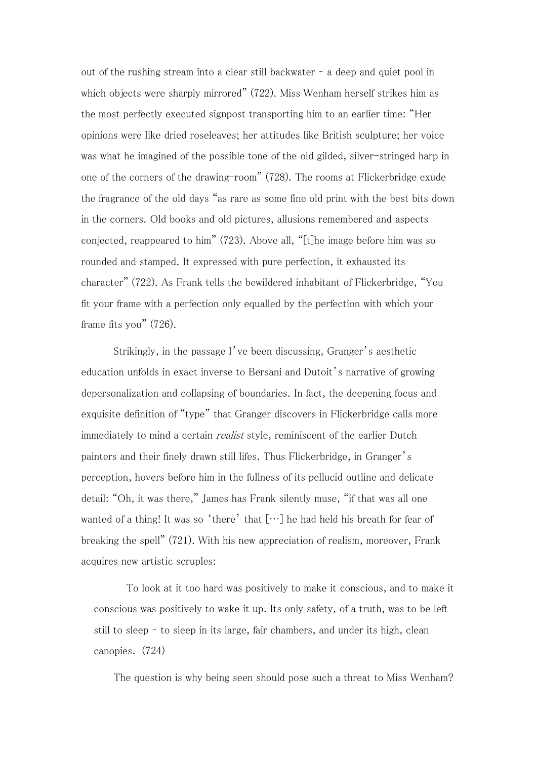out of the rushing stream into a clear still backwater – a deep and quiet pool in which objects were sharply mirrored" (722). Miss Wenham herself strikes him as the most perfectly executed signpost transporting him to an earlier time: "Her opinions were like dried roseleaves; her attitudes like British sculpture; her voice was what he imagined of the possible tone of the old gilded, silver-stringed harp in one of the corners of the drawing-room" (728). The rooms at Flickerbridge exude the fragrance of the old days "as rare as some fine old print with the best bits down in the corners. Old books and old pictures, allusions remembered and aspects conjected, reappeared to him" (723). Above all, "[t]he image before him was so rounded and stamped. It expressed with pure perfection, it exhausted its character" (722). As Frank tells the bewildered inhabitant of Flickerbridge, "You fit your frame with a perfection only equalled by the perfection with which your frame fits you" (726).

Strikingly, in the passage I've been discussing, Granger's aesthetic education unfolds in exact inverse to Bersani and Dutoit's narrative of growing depersonalization and collapsing of boundaries. In fact, the deepening focus and exquisite definition of "type" that Granger discovers in Flickerbridge calls more immediately to mind a certain *realist* style, reminiscent of the earlier Dutch painters and their finely drawn still lifes. Thus Flickerbridge, in Granger's perception, hovers before him in the fullness of its pellucid outline and delicate detail: "Oh, it was there," James has Frank silently muse, "if that was all one wanted of a thing! It was so 'there' that  $[\cdots]$  he had held his breath for fear of breaking the spell" (721). With his new appreciation of realism, moreover, Frank acquires new artistic scruples:

To look at it too hard was positively to make it conscious, and to make it conscious was positively to wake it up. Its only safety, of a truth, was to be left still to sleep – to sleep in its large, fair chambers, and under its high, clean canopies. (724)

The question is why being seen should pose such a threat to Miss Wenham?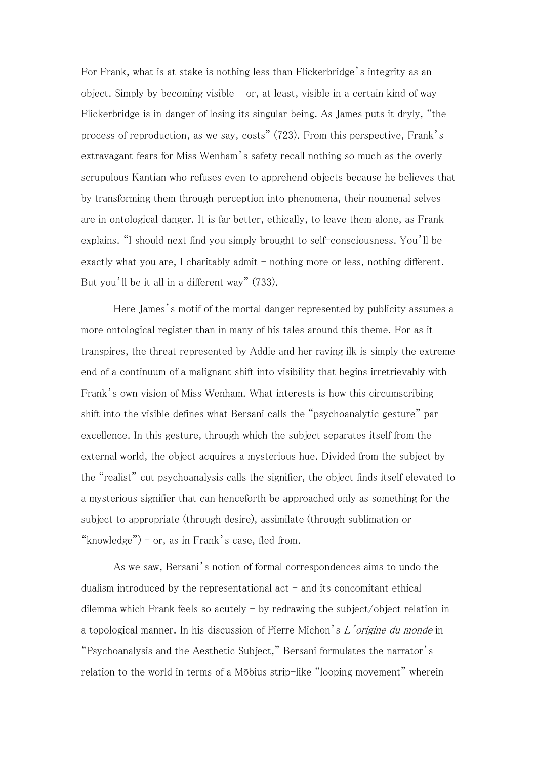For Frank, what is at stake is nothing less than Flickerbridge's integrity as an object. Simply by becoming visible – or, at least, visible in a certain kind of way – Flickerbridge is in danger of losing its singular being. As James puts it dryly, "the process of reproduction, as we say, costs" (723). From this perspective, Frank's extravagant fears for Miss Wenham's safety recall nothing so much as the overly scrupulous Kantian who refuses even to apprehend objects because he believes that by transforming them through perception into phenomena, their noumenal selves are in ontological danger. It is far better, ethically, to leave them alone, as Frank explains. "I should next find you simply brought to self-consciousness. You'll be exactly what you are, I charitably admit - nothing more or less, nothing different. But you'll be it all in a different way" (733).

Here James's motif of the mortal danger represented by publicity assumes a more ontological register than in many of his tales around this theme. For as it transpires, the threat represented by Addie and her raving ilk is simply the extreme end of a continuum of a malignant shift into visibility that begins irretrievably with Frank's own vision of Miss Wenham. What interests is how this circumscribing shift into the visible defines what Bersani calls the "psychoanalytic gesture" par excellence. In this gesture, through which the subject separates itself from the external world, the object acquires a mysterious hue. Divided from the subject by the "realist" cut psychoanalysis calls the signifier, the object finds itself elevated to a mysterious signifier that can henceforth be approached only as something for the subject to appropriate (through desire), assimilate (through sublimation or "knowledge") – or, as in Frank's case, fled from.

As we saw, Bersani's notion of formal correspondences aims to undo the dualism introduced by the representational act  $-$  and its concomitant ethical dilemma which Frank feels so acutely  $-$  by redrawing the subject/object relation in a topological manner. In his discussion of Pierre Michon's L'origine du monde in "Psychoanalysis and the Aesthetic Subject," Bersani formulates the narrator's relation to the world in terms of a Möbius strip-like "looping movement" wherein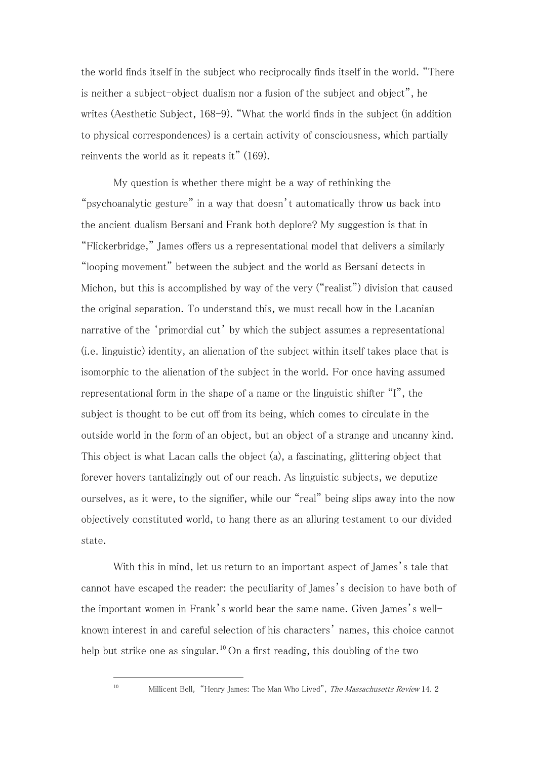the world finds itself in the subject who reciprocally finds itself in the world. "There is neither a subject-object dualism nor a fusion of the subject and object", he writes (Aesthetic Subject, 168-9). "What the world finds in the subject (in addition to physical correspondences) is a certain activity of consciousness, which partially reinvents the world as it repeats it" (169).

My question is whether there might be a way of rethinking the "psychoanalytic gesture" in a way that doesn't automatically throw us back into the ancient dualism Bersani and Frank both deplore? My suggestion is that in "Flickerbridge," James offers us a representational model that delivers a similarly "looping movement" between the subject and the world as Bersani detects in Michon, but this is accomplished by way of the very ("realist") division that caused the original separation. To understand this, we must recall how in the Lacanian narrative of the 'primordial cut' by which the subject assumes a representational (i.e. linguistic) identity, an alienation of the subject within itself takes place that is isomorphic to the alienation of the subject in the world. For once having assumed representational form in the shape of a name or the linguistic shifter "I", the subject is thought to be cut off from its being, which comes to circulate in the outside world in the form of an object, but an object of a strange and uncanny kind. This object is what Lacan calls the object (a), a fascinating, glittering object that forever hovers tantalizingly out of our reach. As linguistic subjects, we deputize ourselves, as it were, to the signifier, while our "real" being slips away into the now objectively constituted world, to hang there as an alluring testament to our divided state.

<span id="page-8-0"></span>With this in mind, let us return to an important aspect of James's tale that cannot have escaped the reader: the peculiarity of James's decision to have both of the important women in Frank's world bear the same name. Given James's wellknown interest in and careful selection of his characters' names, this choice cannot help but strike one as singular.<sup>[10](#page-4-1)</sup> On a first reading, this doubling of the two

<sup>&</sup>lt;sup>10</sup> Millicent Bell, "Henry James: The Man Who Lived", *The Massachusetts Review* 14, 2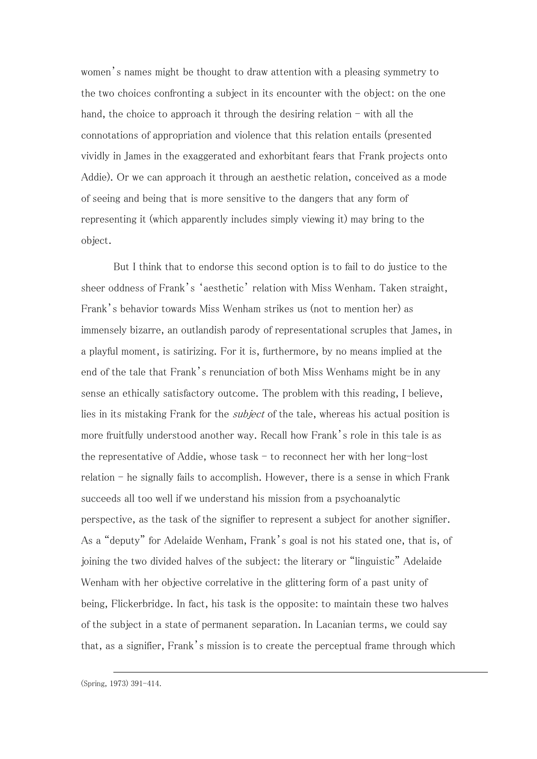women's names might be thought to draw attention with a pleasing symmetry to the two choices confronting a subject in its encounter with the object: on the one hand, the choice to approach it through the desiring relation  $-$  with all the connotations of appropriation and violence that this relation entails (presented vividly in James in the exaggerated and exhorbitant fears that Frank projects onto Addie). Or we can approach it through an aesthetic relation, conceived as a mode of seeing and being that is more sensitive to the dangers that any form of representing it (which apparently includes simply viewing it) may bring to the object.

But I think that to endorse this second option is to fail to do justice to the sheer oddness of Frank's 'aesthetic' relation with Miss Wenham. Taken straight, Frank's behavior towards Miss Wenham strikes us (not to mention her) as immensely bizarre, an outlandish parody of representational scruples that James, in a playful moment, is satirizing. For it is, furthermore, by no means implied at the end of the tale that Frank's renunciation of both Miss Wenhams might be in any sense an ethically satisfactory outcome. The problem with this reading, I believe, lies in its mistaking Frank for the subject of the tale, whereas his actual position is more fruitfully understood another way. Recall how Frank's role in this tale is as the representative of Addie, whose task  $-$  to reconnect her with her long-lost  $relation - he$  signally fails to accomplish. However, there is a sense in which Frank succeeds all too well if we understand his mission from a psychoanalytic perspective, as the task of the signifier to represent a subject for another signifier. As a "deputy" for Adelaide Wenham, Frank's goal is not his stated one, that is, of joining the two divided halves of the subject: the literary or "linguistic" Adelaide Wenham with her objective correlative in the glittering form of a past unity of being, Flickerbridge. In fact, his task is the opposite: to maintain these two halves of the subject in a state of permanent separation. In Lacanian terms, we could say that, as a signifier, Frank's mission is to create the perceptual frame through which

 $\overline{a}$ (Spring, 1973) 391-414.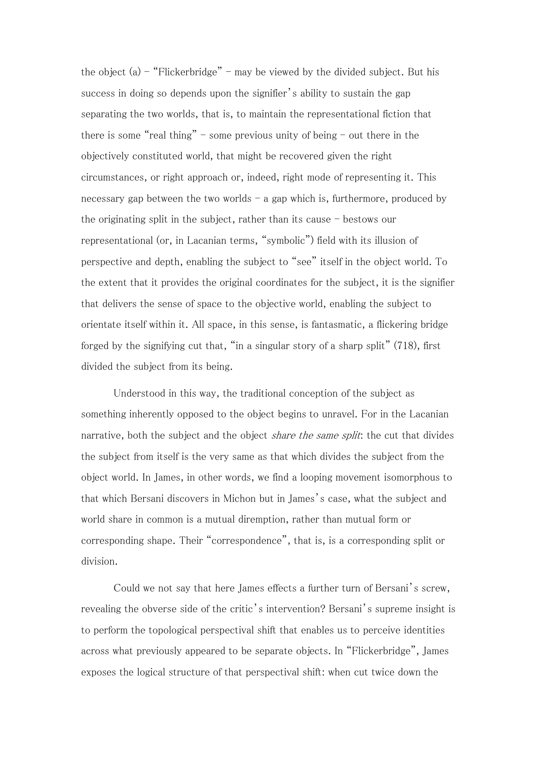the object (a)  $-$  "Flickerbridge" – may be viewed by the divided subject. But his success in doing so depends upon the signifier's ability to sustain the gap separating the two worlds, that is, to maintain the representational fiction that there is some "real thing" - some previous unity of being - out there in the objectively constituted world, that might be recovered given the right circumstances, or right approach or, indeed, right mode of representing it. This necessary gap between the two worlds  $-$  a gap which is, furthermore, produced by the originating split in the subject, rather than its cause  $-$  bestows our representational (or, in Lacanian terms, "symbolic") field with its illusion of perspective and depth, enabling the subject to "see" itself in the object world. To the extent that it provides the original coordinates for the subject, it is the signifier that delivers the sense of space to the objective world, enabling the subject to orientate itself within it. All space, in this sense, is fantasmatic, a flickering bridge forged by the signifying cut that, "in a singular story of a sharp split" (718), first divided the subject from its being.

Understood in this way, the traditional conception of the subject as something inherently opposed to the object begins to unravel. For in the Lacanian narrative, both the subject and the object *share the same split*: the cut that divides the subject from itself is the very same as that which divides the subject from the object world. In James, in other words, we find a looping movement isomorphous to that which Bersani discovers in Michon but in James's case, what the subject and world share in common is a mutual diremption, rather than mutual form or corresponding shape. Their "correspondence", that is, is a corresponding split or division.

Could we not say that here James effects a further turn of Bersani's screw, revealing the obverse side of the critic's intervention? Bersani's supreme insight is to perform the topological perspectival shift that enables us to perceive identities across what previously appeared to be separate objects. In "Flickerbridge", James exposes the logical structure of that perspectival shift: when cut twice down the